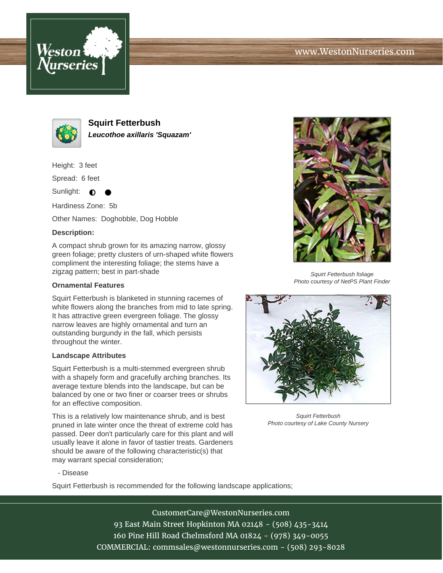# www.WestonNurseries.com





**Squirt Fetterbush Leucothoe axillaris 'Squazam'**

Height: 3 feet

Spread: 6 feet

Sunlight: ∩

Hardiness Zone: 5b

Other Names: Doghobble, Dog Hobble

### **Description:**

A compact shrub grown for its amazing narrow, glossy green foliage; pretty clusters of urn-shaped white flowers compliment the interesting foliage; the stems have a zigzag pattern; best in part-shade

#### **Ornamental Features**

Squirt Fetterbush is blanketed in stunning racemes of white flowers along the branches from mid to late spring. It has attractive green evergreen foliage. The glossy narrow leaves are highly ornamental and turn an outstanding burgundy in the fall, which persists throughout the winter.

#### **Landscape Attributes**

Squirt Fetterbush is a multi-stemmed evergreen shrub with a shapely form and gracefully arching branches. Its average texture blends into the landscape, but can be balanced by one or two finer or coarser trees or shrubs for an effective composition.

This is a relatively low maintenance shrub, and is best pruned in late winter once the threat of extreme cold has passed. Deer don't particularly care for this plant and will usually leave it alone in favor of tastier treats. Gardeners should be aware of the following characteristic(s) that may warrant special consideration;



Squirt Fetterbush foliage Photo courtesy of NetPS Plant Finder



Squirt Fetterbush Photo courtesy of Lake County Nursery

- Disease

Squirt Fetterbush is recommended for the following landscape applications;

CustomerCare@WestonNurseries.com 93 East Main Street Hopkinton MA 02148 - (508) 435-3414 160 Pine Hill Road Chelmsford MA 01824 - (978) 349-0055 COMMERCIAL: commsales@westonnurseries.com - (508) 293-8028